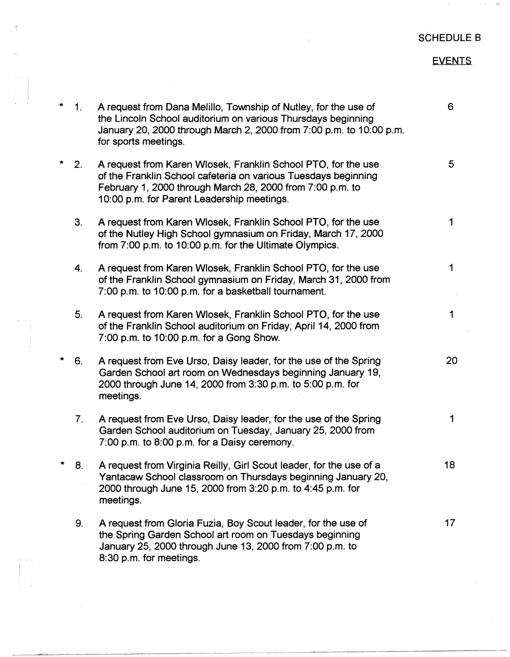## SCHEDULE B

## EVENTS

| $\star$ | 1 <sub>1</sub> | A request from Dana Melillo, Township of Nutley, for the use of<br>the Lincoln School auditorium on various Thursdays beginning<br>January 20, 2000 through March 2, 2000 from 7:00 p.m. to 10:00 p.m.<br>for sports meetings.             | 6  |
|---------|----------------|--------------------------------------------------------------------------------------------------------------------------------------------------------------------------------------------------------------------------------------------|----|
| *       | 2.             | A request from Karen Wlosek, Franklin School PTO, for the use<br>of the Franklin School cafeteria on various Tuesdays beginning<br>February 1, 2000 through March 28, 2000 from 7:00 p.m. to<br>10:00 p.m. for Parent Leadership meetings. | 5  |
|         | 3.             | A request from Karen Wlosek, Franklin School PTO, for the use<br>of the Nutley High School gymnasium on Friday, March 17, 2000<br>from 7:00 p.m. to 10:00 p.m. for the Ultimate Olympics.                                                  | 1  |
|         | 4.             | A request from Karen Wlosek, Franklin School PTO, for the use<br>of the Franklin School gymnasium on Friday, March 31, 2000 from<br>7:00 p.m. to 10:00 p.m. for a basketball tournament.                                                   | 1  |
|         | 5.             | A request from Karen Wlosek, Franklin School PTO, for the use<br>of the Franklin School auditorium on Friday, April 14, 2000 from<br>7:00 p.m. to 10:00 p.m. for a Gong Show.                                                              | 1  |
| *       | 6.             | A request from Eve Urso, Daisy leader, for the use of the Spring<br>Garden School art room on Wednesdays beginning January 19,<br>2000 through June 14, 2000 from 3:30 p.m. to 5:00 p.m. for<br>meetings.                                  | 20 |
|         | 7 <sub>1</sub> | A request from Eve Urso, Daisy leader, for the use of the Spring<br>Garden School auditorium on Tuesday, January 25, 2000 from<br>7:00 p.m. to 8:00 p.m. for a Daisy ceremony.                                                             | 1  |
|         |                | A request from Virginia Reilly, Girl Scout leader, for the use of a<br>Yantacaw School classroom on Thursdays beginning January 20,<br>2000 through June 15, 2000 from 3:20 p.m. to 4:45 p.m. for<br>meetings.                             | 18 |
|         | 9.             | A request from Gloria Fuzia, Boy Scout leader, for the use of<br>the Spring Garden School art room on Tuesdays beginning<br>January 25, 2000 through June 13, 2000 from 7:00 p.m. to<br>8:30 p.m. for meetings.                            | 17 |

 $\frac{2}{3}$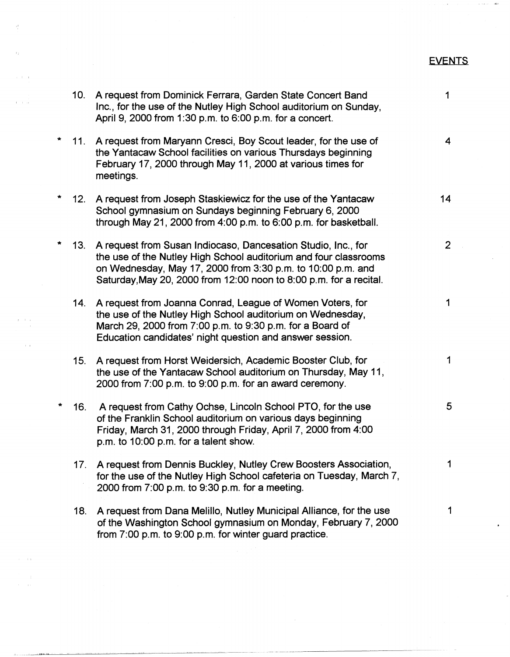## EVENTS

 $-44.1$ 

 $\hat{\mathcal{A}}$ 

|   | 10. | A request from Dominick Ferrara, Garden State Concert Band<br>Inc., for the use of the Nutley High School auditorium on Sunday,<br>April 9, 2000 from 1:30 p.m. to 6:00 p.m. for a concert.                                                                            | 1              |
|---|-----|------------------------------------------------------------------------------------------------------------------------------------------------------------------------------------------------------------------------------------------------------------------------|----------------|
|   | 11. | A request from Maryann Cresci, Boy Scout leader, for the use of<br>the Yantacaw School facilities on various Thursdays beginning<br>February 17, 2000 through May 11, 2000 at various times for<br>meetings.                                                           | 4              |
|   | 12. | A request from Joseph Staskiewicz for the use of the Yantacaw<br>School gymnasium on Sundays beginning February 6, 2000<br>through May 21, 2000 from 4:00 p.m. to 6:00 p.m. for basketball.                                                                            | 14             |
|   | 13. | A request from Susan Indiocaso, Dancesation Studio, Inc., for<br>the use of the Nutley High School auditorium and four classrooms<br>on Wednesday, May 17, 2000 from 3:30 p.m. to 10:00 p.m. and<br>Saturday, May 20, 2000 from 12:00 noon to 8:00 p.m. for a recital. | $\overline{2}$ |
|   | 14. | A request from Joanna Conrad, League of Women Voters, for<br>the use of the Nutley High School auditorium on Wednesday,<br>March 29, 2000 from 7:00 p.m. to 9:30 p.m. for a Board of<br>Education candidates' night question and answer session.                       | 1              |
|   | 15. | A request from Horst Weidersich, Academic Booster Club, for<br>the use of the Yantacaw School auditorium on Thursday, May 11,<br>2000 from 7:00 p.m. to 9:00 p.m. for an award ceremony.                                                                               | 1              |
| * | 16. | A request from Cathy Ochse, Lincoln School PTO, for the use<br>of the Franklin School auditorium on various days beginning<br>Friday, March 31, 2000 through Friday, April 7, 2000 from 4:00<br>p.m. to 10:00 p.m. for a talent show.                                  | 5 <sup>5</sup> |
|   | 17. | A request from Dennis Buckley, Nutley Crew Boosters Association,<br>for the use of the Nutley High School cafeteria on Tuesday, March 7,<br>2000 from 7:00 p.m. to 9:30 p.m. for a meeting.                                                                            |                |
|   | 18. | A request from Dana Melillo, Nutley Municipal Alliance, for the use<br>of the Washington School gymnasium on Monday, February 7, 2000<br>from 7:00 p.m. to 9:00 p.m. for winter guard practice.                                                                        | 1              |

 $\epsilon^+$ 

 $\left\langle \cdot \right\rangle _{i}$ 

 $\alpha=1,\ldots,1$ 

 $\lambda = 1/\sqrt{2}$ 

 $\beta$  .

 $\mathcal{A}^{\pm}$ 

 $\pm$   $\pm$ 

a li